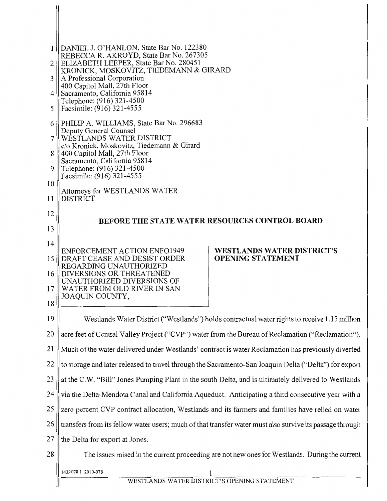| 1 <sup>1</sup> | DANIEL J. O'HANLON, State Bar No. 122380                                                                                                                                                           |                                   |  |
|----------------|----------------------------------------------------------------------------------------------------------------------------------------------------------------------------------------------------|-----------------------------------|--|
| $\overline{2}$ | REBECCA R. AKROYD, State Bar No. 267305<br>ELIZABETH LEEPER, State Bar No. 280451                                                                                                                  |                                   |  |
| 3              | KRONICK, MOSKOVITZ, TIEDEMANN & GIRARD<br>A Professional Corporation                                                                                                                               |                                   |  |
| $\overline{4}$ | 400 Capitol Mall, 27th Floor<br>Sacramento, California 95814<br>Telephone: (916) 321-4500                                                                                                          |                                   |  |
| 5              | Facsimile: (916) 321-4555                                                                                                                                                                          |                                   |  |
| 6              | PHILIP A. WILLIAMS, State Bar No. 296683<br>Deputy General Counsel                                                                                                                                 |                                   |  |
| 7              | WESTLANDS WATER DISTRICT<br>c/o Kronick, Moskovitz, Tiedemann & Girard                                                                                                                             |                                   |  |
| 8              | 400 Capitol Mall, 27th Floor<br>Sacramento, California 95814                                                                                                                                       |                                   |  |
| 9              | Telephone: (916) 321-4500<br>Facsimile: (916) 321-4555                                                                                                                                             |                                   |  |
| 10             | Attorneys for WESTLANDS WATER                                                                                                                                                                      |                                   |  |
| 11             | <b>DISTRICT</b>                                                                                                                                                                                    |                                   |  |
| 12             | BEFORE THE STATE WATER RESOURCES CONTROL BOARD                                                                                                                                                     |                                   |  |
| 13             |                                                                                                                                                                                                    |                                   |  |
| 14             | <b>ENFORCEMENT ACTION ENFO1949</b>                                                                                                                                                                 | <b>WESTLANDS WATER DISTRICT'S</b> |  |
| 15             | DRAFT CEASE AND DESIST ORDER<br>REGARDING UNAUTHORIZED<br>DIVERSIONS OR THREATENED                                                                                                                 | <b>OPENING STATEMENT</b>          |  |
| 16<br>17       | UNAUTHORIZED DIVERSIONS OF<br>WATER FROM OLD RIVER IN SAN                                                                                                                                          |                                   |  |
| 18             | JOAQUIN COUNTY,                                                                                                                                                                                    |                                   |  |
| 19             |                                                                                                                                                                                                    |                                   |  |
| 20             | Westlands Water District ("Westlands") holds contractual water rights to receive 1.15 million<br>acre feet of Central Valley Project ("CVP") water from the Bureau of Reclamation ("Reclamation"). |                                   |  |
| 21             | Much of the water delivered under Westlands' contract is water Reclamation has previously diverted                                                                                                 |                                   |  |
| 22             | to storage and later released to travel through the Sacramento-San Joaquin Delta ("Delta") for export                                                                                              |                                   |  |
| 23             | at the C.W. "Bill" Jones Pumping Plant in the south Delta, and is ultimately delivered to Westlands                                                                                                |                                   |  |
| 24             | via the Delta-Mendota Canal and California Aqueduct. Anticipating a third consecutive year with a                                                                                                  |                                   |  |
| 25             | zero percent CVP contract allocation, Westlands and its farmers and families have relied on water                                                                                                  |                                   |  |
| 26             | transfers from its fellow water users; much of that transfer water must also survive its passage through                                                                                           |                                   |  |
| 27             | the Delta for export at Jones.                                                                                                                                                                     |                                   |  |
| 28             | The issues raised in the current proceeding are not new ones for Westlands. During the current                                                                                                     |                                   |  |
|                | 1432078.1 2010-078                                                                                                                                                                                 |                                   |  |
|                | WESTLANDS WATER DISTRICT'S OPENING STATEMENT                                                                                                                                                       |                                   |  |

 $\parallel$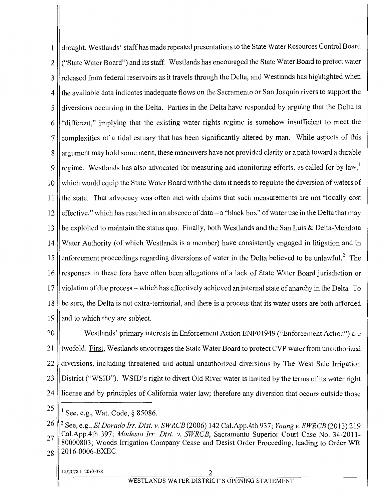drought, Westlands' staffhas made repeated presentations to the State Water Resources Control Board  $\mathbf{1}$ 2 ("State Water Board") and its staff. Westlands has encouraged the State Water Board to protect water 3 || released from federal reservoirs as it travels through the Delta, and Westlands has highlighted when 4 the available data indicates inadequate flows on the Sacramento or San Joaquin rivers to support the 5 diversions occurring in the Delta. Parties in the Delta have responded by arguing that the Delta is 6 "different," implying that the existing water rights regime is somehow insufficient to meet the 7 complexities of a tidal estuary that has been significantly altered by man. While aspects of this 8 argument may hold some merit, these maneuvers have not provided clarity or a path toward a durable 9  $\parallel$  regime. Westlands has also advocated for measuring and monitoring efforts, as called for by law,<sup>1</sup> 10 which would equip the State Water Board with the data it needs to regulate the diversion of waters of 11 the state. That advocacy was often met with claims that such measurements are not "locally cost 12  $\parallel$  effective," which has resulted in an absence of data – a "black box" of water use in the Delta that may 13 be exploited to maintain the status quo. Finally, both Westlands and the San Luis & Delta-Mendota 14 Water Authority (of which Westlands is a member) have consistently engaged in litigation and in 15  $\parallel$  enforcement proceedings regarding diversions of water in the Delta believed to be unlawful.<sup>2</sup> The 16 responses in these fora have often been allegations of a lack of State Water Board jurisdiction or 17 violation of due process – which has effectively achieved an internal state of anarchy in the Delta. To 18 be sure, the Delta is not extra-territorial, and there is a process that its water users are both afforded 19  $\parallel$  and to which they are subject.

20 Westlands' primary interests in Enforcement Action ENFO 1949 ("Enforcement Action") are 21 || twofold. First, Westlands encourages the State Water Board to protect CVP water from unauthorized 22 diversions, including threatened and actual unauthorized diversions by The West Side Irrigation 23 District ("WSID"). WSID's right to divert Old River water is limited by the terms of its water right 24 license and by principles of California water law; therefore any diversion that occurs outside those

 $25$  || 1 See, e.g., Wat. Code, § 85086.

<sup>26</sup> 2 See, e.g., *ElDorado Irr. Dist. v. SWRCB* (2006) 142 Cal.App.4th 937; *Youngv. SWRCB* (2013) 219 27 Cal.App.4th 397; *Modesto Irr. Dist. v. SWRCB*, Sacramento Superior Court Case No. 34-2011-<br>
27 Cal.App.4th 397; *Modesto Irr. Dist. v. SWRCB*, Sacramento Superior Court Case No. 34-2011-80000803; Woods Irrigation Company Cease and Desist Order Proceeding, leading to Order WR  $28$  || 2016-0006-EXEC.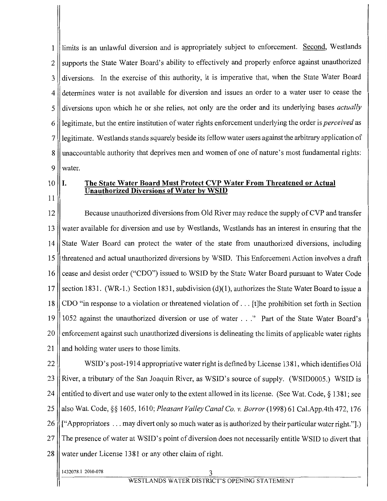1 | limits is an unlawful diversion and is appropriately subject to enforcement. Second, Westlands 2 || supports the State Water Board's ability to effectively and properly enforce against unauthorized 3 || diversions. In the exercise of this authority, it is imperative that, when the State Water Board 4 determines water is not available for diversion and issues an order to a water user to cease the 5 diversions upon which he or she relies, not only are the order and its underlying bases *actually*  6 || legitimate, but the entire institution of water rights enforcement underlying the order is *perceived* as 7 || legitimate. Westlands stands squarely beside its fellow water users against the arbitrary application of 8 || unaccountable authority that deprives men and women of one of nature's most fundamental rights: *9* water.

 $10$  II.

11

### The State Water Board Must Protect CVP Water From Threatened or Actual Unauthorized Diversions of Water by WSID

12 Because unauthorized diversions from Old River may reduce the supply of CVP and transfer 13 water available for diversion and use by Westlands, Westlands has an interest in ensuring that the 14 State Water Board can protect the water of the state from unauthorized diversions, including 15 threatened and actual unauthorized diversions by WSID. This Enforcement Action involves a draft 16 cease and desist order ("CDO") issued to WSID by the State Water Board pursuant to Water Code 17 Section 1831. (WR-1.) Section 1831, subdivision  $(d)(1)$ , authorizes the State Water Board to issue a 18 CDO "in response to a violation or threatened violation of ... [t]he prohibition set forth in Section 19 1052 against the unauthorized diversion or use of water ... " Part of the State Water Board's 20 enforcement against such unauthorized diversions is delineating the limits of applicable water rights 21 and holding water users to those limits.

22 WSID's post-1914 appropriative water right is defined by License 1381, which identifies Old 23 || River, a tributary of the San Joaquin River, as WSID's source of supply. (WSID0005.) WSID is 24 || entitled to divert and use water only to the extent allowed in its license. (See Wat. Code,  $\S$  1381; see 25 also Wat. Code,§§ 1605, 161 0; *Pleasant Valley Canal Co. v. Borror* (1998) 61 Cal.App.4th 472, 176 26 ["Appropriators ... may divert only so much water as is authorized by their particular water right."].) 27 The presence of water at WSID's point of diversion does not necessarily entitle WSID to divert that 28 Wester under License 1381 or any other claim of right.

1432078. I 2010-078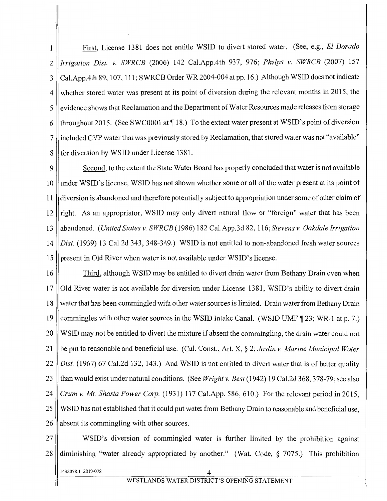<sup>1</sup>\_\_ First, License 1381 does not entitle WSID to divert stored water. (See, e.g., *El Dorado*  2 *Irrigation Dist.* v. *SWRCB* (2006) 142 Cal.App.4th 937, 976; *Phelps v. SWRCB* (2007) 157 3 Cal.App.4th 89, 107, 111; SWRCB Order WR 2004-004 at pp. 16.) Although WSID does not indicate 4 whether stored water was present at its point of diversion during the relevant months in 2015, the 5 | evidence shows that Reclamation and the Department of Water Resources made releases from storage 6 || throughout 2015. (See SWC0001 at  $\P$  18.) To the extent water present at WSID's point of diversion 7 included CVP water that was previously stored by Reclamation, that stored water was not "available" 8 for diversion by WSID under License 1381.

9 ||<br>Second, to the extent the State Water Board has properly concluded that water is not available 10 under WSID's license, WSID has not shown whether some or all of the water present at its point of 11 diversion is abandoned and therefore potentially subject to appropriation under some of other claim of  $12$  right. As an appropriator, WSID may only divert natural flow or "foreign" water that has been 13 abandoned. *(United States v. SWRCB* ( 1986) 182 Cal.App.3d 82, 116; *Stevens v. Oakdale Irrigation*  14 *Dist.* (1939) 13 Cal.2d 343, 348-349.) WSID is not entitled to non-abandoned fresh water sources 15 || present in Old River when water is not available under WSID's license.

16 Third, although WSID may be entitled to divert drain water from Bethany Drain even when 17 Old River water is not available for diversion under License 1381, WSID's ability to divert drain 18 water that has been commingled with other water sources is limited. Drain water from Bethany Drain 19 commingles with other water sources in the WSID Intake Canal. (WSID UMF  $\parallel$  23; WR-1 at p. 7.) 20 WSID may not be entitled to divert the mixture if absent the commingling, the drain water could not 21 be put to reasonable and beneficial use. (Cal. Const., Art. X,§ 2; *Joslin v. Marine Municipal Water*  22 *Dist.* (1967) 67 Cal.2d 132, 143.) And WSID is not entitled to divert water that is of better quality 23 than would exist under natural conditions. (See *Wright v. Best* (1942) 19 Cal.2d 368, 378-79; see also 24 *Crum v. Mt. Shasta Power Corp.* (1931) 117 Cal.App. 586, 610.) For the relevant period in 2015, 25 WSID has not established that it could put water from Bethany Drain to reasonable and beneficial use,  $26$  | absent its commingling with other sources.

27 WSID's diversion of commingled water is further limited by the prohibition against 28 diminishing "water already appropriated by another." (Wat. Code, § 7075.) This prohibition

1432078.1 2010-078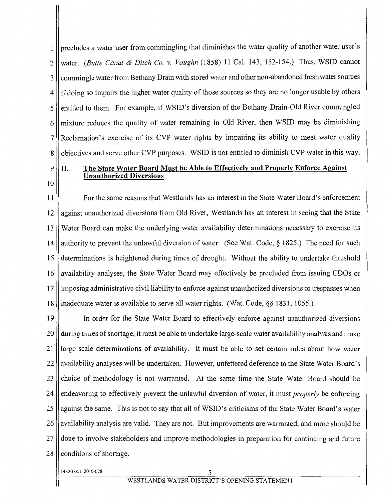1 || precludes a water user from commingling that diminishes the water quality of another water user's 2 water. *(Butte Canal* & *Ditch Co. v. Vaughn* (1858) 11 Cal. 143, 152-154.) Thus, WSID cannot 3 | commingle water from Bethany Drain with stored water and other non-abandoned fresh water sources 4 || if doing so impairs the higher water quality of those sources so they are no longer usable by others 5 entitled to them. For example, if WSID's diversion of the Bethany Drain-Old River commingled  $6$  mixture reduces the quality of water remaining in Old River, then WSID may be diminishing 7 Reclamation's exercise of its CVP water rights by impairing its ability to meet water quality 8 | objectives and serve other CVP purposes. WSID is not entitled to diminish CVP water in this way.

10

#### $9$  || II. The State Water Board Must be Able to Effectively and Properly Enforce Against Unauthorized Diversions

11 For the same reasons that Westlands has an interest in the State Water Board's enforcement 12 against unauthorized diversions from Old River, Westlands has an interest in seeing that the State 13 Water Board can make the underlying water availability determinations necessary to exercise its 14 || authority to prevent the unlawful diversion of water. (See Wat. Code, § 1825.) The need for such 15 determinations is heightened during times of drought. Without the ability to undertake threshold 16 availability analyses, the State Water Board may effectively be precluded from issuing CDOs or 17 || imposing administrative civil liability to enforce against unauthorized diversions or trespasses when 18 inadequate water is available to serve all water rights. (Wat. Code,§§ 1831, 1055.)

19 In order for the State Water Board to effectively enforce against unauthorized diversions 20 during times of shortage, it must be able to undertake large-scale water availability analysis and make 21 large-scale determinations of availability. It must be able to set certain rules about how water 22 availability analyses will be undertaken. However, unfettered deference to the State Water Board's 23 choice of methodology is not warranted. At the same time the State Water Board should be 24 endeavoring to effectively prevent the unlawful diversion of water, it must *properly* be enforcing 25 against the same. This is not to say that all of WSID's criticisms of the State Water Board's water 26 availability analysis are valid. They are not. But improvements are warranted, and more should be 27 done to involve stakeholders and improve methodologies in preparation for continuing and future  $28$  | conditions of shortage.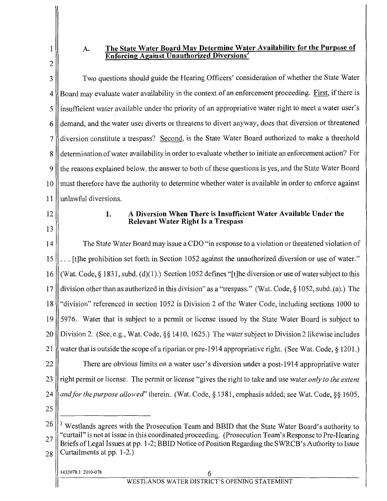# 1 2

## **A. The State Water Board May Determine Water Availability for the Purpose of Enforcing Against Unauthorized Diversions<sup>3</sup>**

3 Two questions should guide the Hearing Officers' consideration of whether the State Water 4 Board may evaluate water availability in the context of an enforcement proceeding. First, if there is 5 insufficient water available under the priority of an appropriative water right to meet a water user's 6 demand, and the water user diverts or threatens to divert anyway, does that diversion or threatened 7 diversion constitute a trespass? Second, is the State Water Board authorized to make a threshold 8 determination of water availability in order to evaluate whether to initiate an enforcement action? For 9 || the reasons explained below, the answer to both of these questions is yes, and the State Water Board 10 must therefore have the authority to determine whether water is available in order to enforce against **11** unlawful diversions. 12 13 **1. A Diversion When There is Insufficient Water Available Under the Relevant Water Right Is a Trespass**  14 The State Water Board may issue a CDO "in response to a violation or threatened violation of 15  $\ldots$  [t] the prohibition set forth in Section 1052 against the unauthorized diversion or use of water." 16 (Wat. Code,§ 1831, subd. (d)(l ).) Section 1052 defines "[t]he diversion or use of water subject to this 17 division other than as authorized in this division" as a "trespass." (Wat. Code,§ 1052, subd. (a).) The 18 "division" referenced in section 1052 is Division 2 of the Water Code, including sections 1000 to 19 5976. Water that is subject to a permit or license issued by the State Water Board is subject to 20 || Division 2. (See, e.g., Wat. Code, §§ 1410, 1625.) The water subject to Division 2 likewise includes 21 water that is outside the scope of a riparian or pre-1914 appropriative right. (See Wat. Code, § 1201.) 22 There are obvious limits on a water user's diversion under a post-1914 appropriative water 23 right permit or license. The permit or license "gives the right to take and use water *only to the extent*  24 *and for the purpose allowed'* therein. (Wat. Code,§ 1381, emphasis added; see Wat. Code,§§ 1605, 25  $26 \parallel$ <sup>3</sup> Westlands agrees with the Prosecution Team and BBID that the State Water Board's authority to 27"curtail" is not at issue in this coordinated proceeding. (Prosecution Team's Response to Pre-Hearing Briefs of Legal Issues at pp. 1-2; BBID Notice of Position Regarding the SWRCB's Authority to Issue  $28$  Curtailments at pp. 1-2.)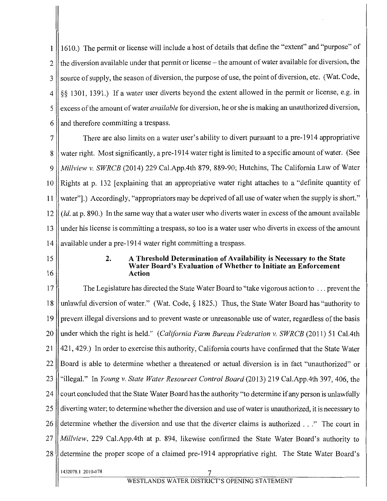161 0.) The permit or license will include a host of details that define the "extent" and "purpose" of 1  $2$  | the diversion available under that permit or license – the amount of water available for diversion, the 3 Source of supply, the season of diversion, the purpose of use, the point of diversion, etc. (Wat. Code, 4 §§ 1301, 1391.) If a water user diverts beyond the extent allowed in the permit or license, e.g. in 5 excess ofthe amount of water *available* for diversion, he or she is making an unauthorized diversion, 6 and therefore committing a trespass.

7 There are also limits on a water user's ability to divert pursuant to a pre-1914 appropriative 8 water right. Most significantly, a pre-1914 water right is limited to a specific amount of water. (See 9 *Mil/view v. SWRCB* (2014) 229 Cal.App.4th 879, 889-90; Hutchins, The California Law of Water 10 Rights at p. 132 [explaining that an appropriative water right attaches to a "definite quantity of 11 water"].) Accordingly, "appropriators may be deprived of all use of water when the supply is short." 12  $\parallel$  (*Id.* at p. 890.) In the same way that a water user who diverts water in excess of the amount available 13 || under his license is committing a trespass, so too is a water user who diverts in excess of the amount 14 | available under a pre-1914 water right committing a trespass.

- 15
- 16

#### **2. A Threshold Determination of Availability is** Necessary **to the State Water Board's Evaluation of Whether to Initiate an Enforcement Action**

17 The Legislature has directed the State Water Board to "take vigorous action to ... prevent the 18 unlawful diversion of water." (Wat. Code,§ 1825.) Thus, the State Water Board has "authority to 19 prevent illegal diversions and to prevent waste or unreasonable use of water, regardless of the basis 20 under which the right is held." *(California Farm Bureau Federation v. SWRCB* (2011) 51 Cal.4th 21 421, 429.) In order to exercise this authority, California courts have confirmed that the State Water 22 Board is able to determine whether a threatened or actual diversion is in fact "unauthorized" or 23 "illegal." In *Young v. State Water Resources Control Board* (2013) 219 Cal.App.4th 397,406, the 24  $\parallel$  court concluded that the State Water Board has the authority "to determine if any person is unlawfully 25 diverting water; to determine whether the diversion and use of water is unauthorized, it is necessary to 26 determine whether the diversion and use that the diverter claims is authorized ..." The court in 27 *Millview,* 229 Cal.App.4th at p. 894, likewise confirmed the State Water Board's authority to 28 determine the proper scope of a claimed pre-1914 appropriative right. The State Water Board's 1432078.1 2010-078 7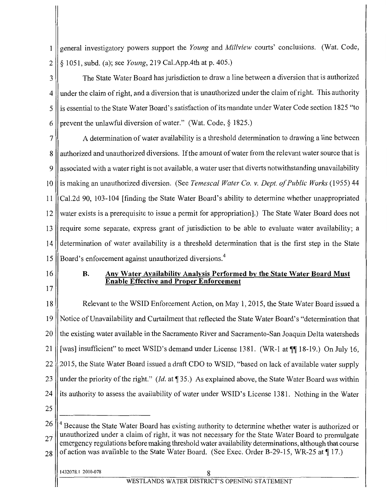1 general investigatory powers support the *Young* and *Millview* courts' conclusions. (Wat. Code, 2 § 1051, subd. (a); see *Young,* 219 Cal.App.4th at p. 405.)

3 The State Water Board has jurisdiction to draw a line between a diversion that is authorized 4 under the claim of right, and a diversion that is unauthorized under the claim of right. This authority 5 || is essential to the State Water Board's satisfaction of its mandate under Water Code section 1825 "to 6 || prevent the unlawful diversion of water." (Wat. Code,  $\S$  1825.)

7 A determination of water availability is a threshold determination to drawing a line between 8 || authorized and unauthorized diversions. If the amount of water from the relevant water source that is 9 || associated with a water right is not available, a water user that diverts notwithstanding unavailability 10 is making an unauthorized diversion. (See *Temescal Water Co. v. Dept. of Public Works* (1955) 44 11 Cal.2d 90, 103-104 [finding the State Water Board's ability to determine whether unappropriated 12 || water exists is a prerequisite to issue a permit for appropriation].) The State Water Board does not  $13$  require some separate, express grant of jurisdiction to be able to evaluate water availability; a 14 determination of water availability is a threshold determination that is the first step in the State 15 Board's enforcement against unauthorized diversions.<sup>4</sup>

- 16
- 17

### **B. Any Water Availability Analysis Performed by the State Water Board Must Enable Effective and Proper Enforcement**

18 Relevant to the WSID Enforcement Action, on May **1,** 2015, the State Water Board issued a 19 Notice ofUnavailability and Curtailment that reflected the State Water Board's "determination that 20 I the existing water available in the Sacramento River and Sacramento-San Joaquin Delta watersheds 21  $\parallel$  [was] insufficient" to meet WSID's demand under License 1381. (WR-1 at  $\P$ [[18-19.) On July 16, 22 2015, the State Water Board issued a draft CDO to WSID, "based on lack of available water supply 23 under the priority of the right." *(Id.* at 135.) As explained above, the State Water Board was within 24 is authority to assess the availability of water under WSID's License 1381. Nothing in the Water 25

 $26 \parallel^4$  Because the State Water Board has existing authority to determine whether water is authorized or  $27$  unauthorized under a claim of right, it was not necessary for the State Water Board to promulgate emergency regulations before making threshold water availability determinations, although that course  $28$  of action was available to the State Water Board. (See Exec. Order B-29-15, WR-25 at  $\parallel$  17.)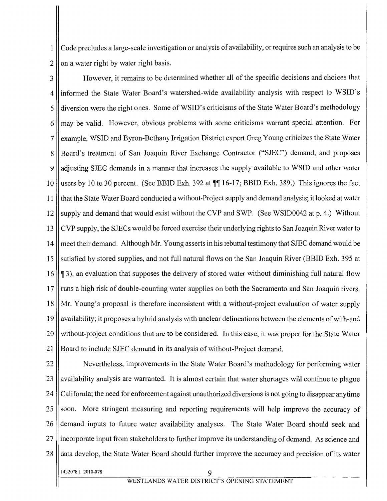1 Code precludes a large-scale investigation or analysis of availability, or requires such an analysis to be  $2 \parallel$  on a water right by water right basis.

3 However, it remains to be determined whether all of the specific decisions and choices that 4 informed the State Water Board's watershed-wide availability analysis with respect to WSID's 5 diversion were the right ones. Some of WSID's criticisms of the State Water Board's methodology  $6$  || may be valid. However, obvious problems with some criticisms warrant special attention. For 7 || example, WSID and Byron-Bethany Irrigation District expert Greg Young criticizes the State Water 8 Board's treatment of San Joaquin River Exchange Contractor ("SJEC") demand, and proposes 9 || adjusting SJEC demands in a manner that increases the supply available to WSID and other water 10 || users by 10 to 30 percent. (See BBID Exh. 392 at  $\P$  16-17; BBID Exh. 389.) This ignores the fact 11 that the State Water Board conducted a without-Project supply and demand analysis; it looked at water 12 Supply and demand that would exist without the CVP and SWP. (See WSID0042 at p. 4.) Without 13 CVP supply, the SJECs would be forced exercise their underlying rights to San Joaquin River water to 14 meet their demand. Although Mr. Young asserts in his rebuttal testimony that SJEC demand would be 15 satisfied by stored supplies, and not full natural flows on the San Joaquin River (BBID Exh. 395 at 16  $\parallel$  **15**), an evaluation that supposes the delivery of stored water without diminishing full natural flow 17 runs a high risk of double-counting water supplies on both the Sacramento and San Joaquin rivers. 18 Mr. Young's proposal is therefore inconsistent with a without-project evaluation of water supply 19 availability; it proposes a hybrid analysis with unclear delineations between the elements of with-and 20 Without-project conditions that are to be considered. In this case, it was proper for the State Water 21 Board to include SJEC demand in its analysis of without-Project demand.

22 | Nevertheless, improvements in the State Water Board's methodology for performing water 23 availability analysis are warranted. It is almost certain that water shortages will continue to plague 24 California; the need for enforcement against unauthorized diversions is not going to disappear anytime 25 soon. More stringent measuring and reporting requirements will help improve the accuracy of 26 demand inputs to future water availability analyses. The State Water Board should seek and 27 || incorporate input from stakeholders to further improve its understanding of demand. As science and 28 data develop, the State Water Board should further improve the accuracy and precision of its water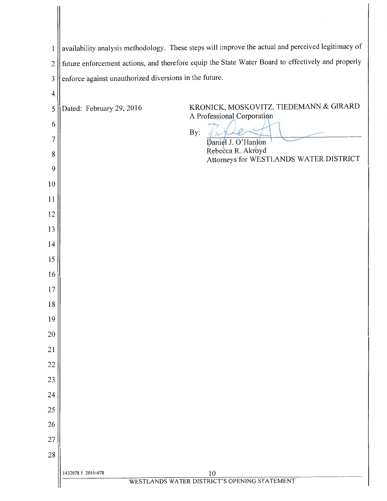| 1              | availability analysis methodology. These steps will improve the actual and perceived legitimacy of<br>future enforcement actions, and therefore equip the State Water Board to effectively and properly |                                                    |  |
|----------------|---------------------------------------------------------------------------------------------------------------------------------------------------------------------------------------------------------|----------------------------------------------------|--|
| $\overline{2}$ | enforce against unauthorized diversions in the future.                                                                                                                                                  |                                                    |  |
| $\mathfrak{Z}$ |                                                                                                                                                                                                         |                                                    |  |
| $\overline{4}$ |                                                                                                                                                                                                         | KRONICK, MOSKOVITZ, TIEDEMANN & GIRARD             |  |
| 5              | Dated: February 29, 2016                                                                                                                                                                                | A Professional Corporation                         |  |
| 6              |                                                                                                                                                                                                         | By:                                                |  |
| 7              |                                                                                                                                                                                                         | Daniel J. O'Hanlon<br>Rebecca R. Akroyd            |  |
| 8<br>9         |                                                                                                                                                                                                         | Attorneys for WESTLANDS WATER DISTRICT             |  |
| 10             |                                                                                                                                                                                                         |                                                    |  |
| 11             |                                                                                                                                                                                                         |                                                    |  |
| 12             |                                                                                                                                                                                                         |                                                    |  |
| 13             |                                                                                                                                                                                                         |                                                    |  |
| 14             |                                                                                                                                                                                                         |                                                    |  |
| 15             |                                                                                                                                                                                                         |                                                    |  |
| 16             |                                                                                                                                                                                                         |                                                    |  |
| 17             |                                                                                                                                                                                                         |                                                    |  |
| 18             |                                                                                                                                                                                                         |                                                    |  |
| 19             |                                                                                                                                                                                                         |                                                    |  |
| 20             |                                                                                                                                                                                                         |                                                    |  |
| 21             |                                                                                                                                                                                                         |                                                    |  |
| 22             |                                                                                                                                                                                                         |                                                    |  |
| 23             |                                                                                                                                                                                                         |                                                    |  |
| 24             |                                                                                                                                                                                                         |                                                    |  |
| 25             |                                                                                                                                                                                                         |                                                    |  |
| 26             |                                                                                                                                                                                                         |                                                    |  |
| 27             |                                                                                                                                                                                                         |                                                    |  |
| 28             |                                                                                                                                                                                                         |                                                    |  |
|                | 1432078.1 2010-078                                                                                                                                                                                      | 10<br>WESTLANDS WATER DISTRICT'S OPENING STATEMENT |  |
|                |                                                                                                                                                                                                         |                                                    |  |

╢

 $\sim$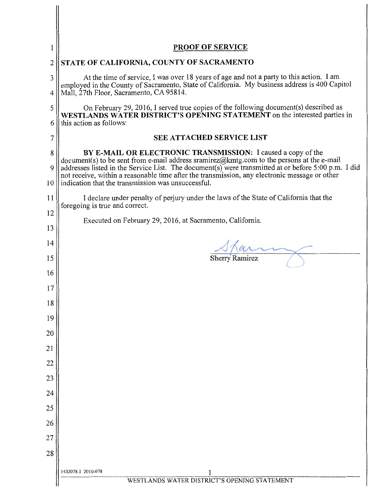| ı                   | <b>PROOF OF SERVICE</b>                                                                                                                                                                                                                                            |  |  |
|---------------------|--------------------------------------------------------------------------------------------------------------------------------------------------------------------------------------------------------------------------------------------------------------------|--|--|
| 2                   | STATE OF CALIFORNIA, COUNTY OF SACRAMENTO                                                                                                                                                                                                                          |  |  |
| 3<br>$\overline{4}$ | At the time of service, I was over 18 years of age and not a party to this action. I am<br>employed in the County of Sacramento, State of California. My business address is 400 Capitol<br>Mall, 27th Floor, Sacramento, CA 95814.                                |  |  |
| 5                   | On February 29, 2016, I served true copies of the following document(s) described as                                                                                                                                                                               |  |  |
| 6                   | WESTLANDS WATER DISTRICT'S OPENING STATEMENT on the interested parties in<br>this action as follows:                                                                                                                                                               |  |  |
| 7                   | <b>SEE ATTACHED SERVICE LIST</b>                                                                                                                                                                                                                                   |  |  |
| 8<br>9              | BY E-MAIL OR ELECTRONIC TRANSMISSION: I caused a copy of the<br>$document(s)$ to be sent from e-mail address sramirez@kmtg.com to the persons at the e-mail<br>addresses listed in the Service List. The document(s) were transmitted at or before 5:00 p.m. I did |  |  |
| 10                  | not receive, within a reasonable time after the transmission, any electronic message or other<br>indication that the transmission was unsuccessful.                                                                                                                |  |  |
| 11                  | I declare under penalty of perjury under the laws of the State of California that the<br>foregoing is true and correct.                                                                                                                                            |  |  |
| 12                  | Executed on February 29, 2016, at Sacramento, California.                                                                                                                                                                                                          |  |  |
| 13                  |                                                                                                                                                                                                                                                                    |  |  |
| 14                  |                                                                                                                                                                                                                                                                    |  |  |
| 15                  | <b>Sherry Ramirez</b>                                                                                                                                                                                                                                              |  |  |
| 16                  |                                                                                                                                                                                                                                                                    |  |  |
| 17                  |                                                                                                                                                                                                                                                                    |  |  |
| 18                  |                                                                                                                                                                                                                                                                    |  |  |
| 19<br>20            |                                                                                                                                                                                                                                                                    |  |  |
| 21                  |                                                                                                                                                                                                                                                                    |  |  |
| 22                  |                                                                                                                                                                                                                                                                    |  |  |
| 23                  |                                                                                                                                                                                                                                                                    |  |  |
| 24                  |                                                                                                                                                                                                                                                                    |  |  |
| 25                  |                                                                                                                                                                                                                                                                    |  |  |
| 26                  |                                                                                                                                                                                                                                                                    |  |  |
| 27                  |                                                                                                                                                                                                                                                                    |  |  |
| 28                  |                                                                                                                                                                                                                                                                    |  |  |
|                     | 1432078.1 2010-078<br>WESTLANDS WATER DISTRICT'S OPENING STATEMENT                                                                                                                                                                                                 |  |  |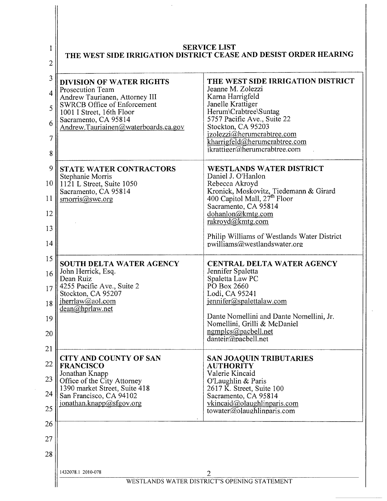| <b>SERVICE LIST</b><br>THE WEST SIDE IRRIGATION DISTRICT CEASE AND DESIST ORDER HEARING |                                                                                    |  |
|-----------------------------------------------------------------------------------------|------------------------------------------------------------------------------------|--|
| <b>DIVISION OF WATER RIGHTS</b>                                                         | THE WEST SIDE IRRIGATION DISTRICT                                                  |  |
| Prosecution Team<br>Andrew Taurianen, Attorney III                                      | Jeanne M. Zolezzi<br>Karna Harrigfeld                                              |  |
| <b>SWRCB Office of Enforcement</b><br>1001 I Street, 16th Floor                         | Janelle Krattiger<br>Herum\Crabtree\Suntag                                         |  |
| Sacramento, CA 95814<br>Andrew.Tauriainen@waterboards.ca.gov                            | 5757 Pacific Ave., Suite 22<br>Stockton, CA 95203                                  |  |
|                                                                                         | jzolezzi@herumcrabtree.com<br>kharrigfeld@herumcrabtree.com                        |  |
|                                                                                         | ikrattiger@herumcrabtree.com                                                       |  |
| <b>STATE WATER CONTRACTORS</b>                                                          | <b>WESTLANDS WATER DISTRICT</b>                                                    |  |
| Stephanie Morris<br>$1121$ L Street, Suite 1050                                         | Daniel J. O'Hanlon<br>Rebecca Akroyd                                               |  |
| Sacramento, CA 95814<br>smorris@swc.org                                                 | Kronick, Moskovitz, Tiedemann & Girard<br>400 Capitol Mall, 27 <sup>th</sup> Floor |  |
|                                                                                         | Sacramento, CA 95814<br>dohanlon@kmtg.com                                          |  |
|                                                                                         | rakroyd@kmtg.com                                                                   |  |
|                                                                                         | Philip Williams of Westlands Water District<br>pwilliams@westlandswater.org        |  |
|                                                                                         |                                                                                    |  |
| SOUTH DELTA WATER AGENCY<br>John Herrick, Esq.                                          | <b>CENTRAL DELTA WATER AGENCY</b><br>Jennifer Spaletta                             |  |
| Dean Ruiz<br>4255 Pacific Ave., Suite 2                                                 | Spaletta Law PC<br>PO Box 2660                                                     |  |
| 17 <sup>1</sup><br>Stockton, CA 95207                                                   | Lodi, CA 95241                                                                     |  |
| jherrlaw@aol.com<br>dean@hprlaw.net                                                     | jennifer@spalettalaw.com                                                           |  |
|                                                                                         | Dante Nomellini and Dante Nomellini, Jr.<br>Nomellini, Grilli & McDaniel           |  |
|                                                                                         | $n$ gmplcs@pacbell.net<br>$d$ antejr@pacbell.net                                   |  |
|                                                                                         |                                                                                    |  |
| <b>CITY AND COUNTY OF SAN</b><br><b>FRANCISCO</b>                                       | SAN JOAQUIN TRIBUTARIES<br><b>AUTHORITY</b>                                        |  |
| Jonathan Knapp<br>Office of the City Attorney                                           | Valerie Kincaid<br>O'Laughlin & Paris                                              |  |
| 1390 market Street, Suite 418<br>San Francisco, CA 94102                                | 2617 K. Street, Suite 100<br>Sacramento, CA 95814                                  |  |
| jonathan.knapp@sfgov.org                                                                | vkincaid@olaughlinparis.com<br>towater@olaughlinparis.com                          |  |
|                                                                                         |                                                                                    |  |
|                                                                                         |                                                                                    |  |
|                                                                                         |                                                                                    |  |

 $\bar{z}$